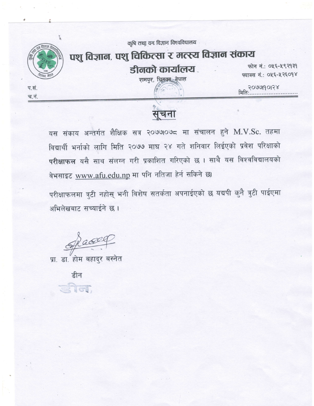

यस संकाय अन्तर्गत शैक्षिक सत्र २०७७०७८ मा संचालन हुने M.V.Sc. तहमा विद्यार्थी भर्नाको लागि मिति २०७७ माघ २४ गते शनिवार लिईएको प्रवेश परिक्षाको परीक्षाफल यसै साथ संलग्न गरी प्रकाशित गरिएको छ। साथै यस विश्वविद्यालयको वेभसाइट www.afu.edu.np मा पनि नतिजा हेर्न सकिने छ।

परीक्षाफलमा त्रुटी नहोस् भनी विशेष सतर्कता अपनाईएको छ यद्यपी कुनै त्रुटी पाईएमा अभिलेखबाट सच्याईने छ।

grace

प्रा. डा. होम बहादुर बस्नेत

डीन

Sici,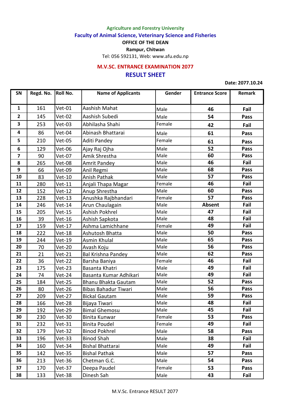**Agriculture and Forestry University**

**Faculty of Animal Science, Veterinary Science and Fisheries**

**OFFICE OF THE DEAN**

**Rampur, Chitwan**

Tel: 056 592131, Web: www.afu.edu.np

## **RESULT SHEET M.V.SC. ENTRANCE EXAMINATION 2077**

**Date: 2077.10.24**

| SN                      | Regd. No. | <b>Roll No.</b> | <b>Name of Applicants</b>      | Gender | <b>Entrance Score</b> | Remark |
|-------------------------|-----------|-----------------|--------------------------------|--------|-----------------------|--------|
| $\mathbf{1}$            | 161       | $Vet-01$        | Aashish Mahat                  | Male   | 46                    | Fail   |
| $\overline{2}$          | 145       | <b>Vet-02</b>   | Aashish Subedi                 | Male   | 54                    | Pass   |
| 3                       | 253       | $Vet-03$        | Abhilasha Shahi                | Female | 42                    | Fail   |
| 4                       | 86        | Vet-04          | Abinash Bhattarai              | Male   | 61                    | Pass   |
| 5                       | 210       | <b>Vet-05</b>   | Aditi Pandey                   | Female | 61                    | Pass   |
| 6                       | 129       | Vet-06          |                                | Male   | 52                    | Pass   |
| $\overline{\mathbf{z}}$ | 90        | <b>Vet-07</b>   | Ajay Raj Ojha<br>Amik Shrestha | Male   | 60                    | Pass   |
| 8                       | 265       |                 |                                | Male   | 46                    | Fail   |
| 9                       |           | Vet-08          | Amrit Pandey                   |        | 68                    |        |
|                         | 66        | <b>Vet-09</b>   | Anil Regmi                     | Male   |                       | Pass   |
| 10                      | 83        | <b>Vet-10</b>   | Anish Pathak                   | Male   | 57                    | Pass   |
| 11                      | 280       | $Vert-11$       | Anjali Thapa Magar             | Female | 46                    | Fail   |
| 12                      | 152       | $Vet-12$        | Anup Shrestha                  | Male   | 60                    | Pass   |
| 13                      | 228       | $Vert-13$       | Anushka Rajbhandari            | Female | 57                    | Pass   |
| 14                      | 246       | $Vet-14$        | Arun Chaulagain                | Male   | <b>Absent</b>         | Fail   |
| 15                      | 205       | $Vet-15$        | Ashish Pokhrel                 | Male   | 47                    | Fail   |
| 16                      | 39        | <b>Vet-16</b>   | Ashish Sapkota                 | Male   | 48                    | Fail   |
| 17                      | 159       | <b>Vet-17</b>   | Ashma Lamichhane               | Female | 49                    | Fail   |
| 18                      | 222       | <b>Vet-18</b>   | Ashutosh Bhatta                | Male   | 50                    | Pass   |
| 19                      | 244       | <b>Vet-19</b>   | Asmin Khulal                   | Male   | 65                    | Pass   |
| 20                      | 70        | <b>Vet-20</b>   | Avash Koju                     | Male   | 56                    | Pass   |
| 21                      | 21        | $Vet-21$        | Bal Krishna Pandey             | Male   | 62                    | Pass   |
| 22                      | 36        | <b>Vet-22</b>   | Barsha Baniya                  | Female | 46                    | Fail   |
| 23                      | 175       | $Vet-23$        | Basanta Khatri                 | Male   | 49                    | Fail   |
| 24                      | 74        | $Vet-24$        | Basanta Kumar Adhikari         | Male   | 49                    | Fail   |
| 25                      | 184       | $Vet-25$        | Bhanu Bhakta Gautam            | Male   | 52                    | Pass   |
| 26                      | 80        | <b>Vet-26</b>   | Bibas Bahadur Tiwari           | Male   | 56                    | Pass   |
| 27                      | 209       | <b>Vet-27</b>   | <b>Bickal Gautam</b>           | Male   | 59                    | Pass   |
| 28                      | 166       | Vet-28          | Bijaya Tiwari                  | Male   | 48                    | Fail   |
| 29                      | 192       | $Vet-29$        | <b>Bimal Ghemosu</b>           | Male   | 45                    | Fail   |
| 30                      | 230       | <b>Vet-30</b>   | Binita Kunwar                  | Female | 53                    | Pass   |
| 31                      | 232       | $Vet-31$        | <b>Binita Poudel</b>           | Female | 49                    | Fail   |
| 32                      | 179       | Vet-32          | <b>Binod Pokhrel</b>           | Male   | 58                    | Pass   |
| 33                      | 196       | $Vet-33$        | <b>Binod Shah</b>              | Male   | 38                    | Fail   |
| 34                      | 160       | Vet-34          | <b>Bishal Bhattarai</b>        | Male   | 49                    | Fail   |
| 35                      | 142       | <b>Vet-35</b>   | <b>Bishal Pathak</b>           | Male   | 57                    | Pass   |
| 36                      | 213       | <b>Vet-36</b>   | Chetman G.C.                   | Male   | 54                    | Pass   |
| 37                      | 170       | $Vet-37$        | Deepa Paudel                   | Female | 53                    | Pass   |
| 38                      | 133       | <b>Vet-38</b>   | Dinesh Sah                     | Male   | 43                    | Fail   |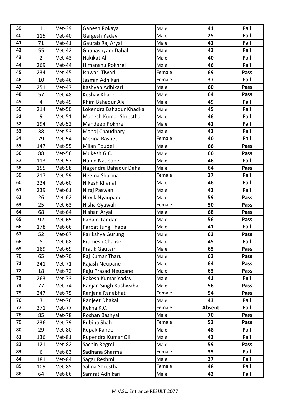| 39 | $\mathbf{1}$            | <b>Vet-39</b> | Ganesh Rokaya           | Male   | 41     | Fail |
|----|-------------------------|---------------|-------------------------|--------|--------|------|
| 40 | 115                     | <b>Vet-40</b> | Gargesh Yadav           | Male   | 25     | Fail |
| 41 | 71                      | $Vet-41$      | Gaurab Raj Aryal        | Male   | 41     | Fail |
| 42 | 55                      | <b>Vet-42</b> | Ghanashyam Dahal        | Male   | 43     | Fail |
| 43 | $\overline{2}$          | $Vet-43$      | Hakikat Ali             | Male   | 40     | Fail |
| 44 | 269                     | Vet-44        | Himanshu Pokhrel        | Male   | 46     | Fail |
| 45 | 234                     | <b>Vet-45</b> | Ishwari Tiwari          | Female | 69     | Pass |
| 46 | 10                      | <b>Vet-46</b> | Jasmin Adhikari         | Female | 37     | Fail |
| 47 | 251                     | <b>Vet-47</b> | Kashyap Adhikari        | Male   | 60     | Pass |
| 48 | 57                      | <b>Vet-48</b> | Keshav Kharel           | Male   | 64     | Pass |
| 49 | $\overline{\mathbf{4}}$ | <b>Vet-49</b> | Khim Bahadur Ale        | Male   | 49     | Fail |
| 50 | 214                     | <b>Vet-50</b> | Lokendra Bahadur Khadka | Male   | 45     | Fail |
| 51 | 9                       | $Vet-51$      | Mahesh Kumar Shrestha   | Male   | 46     | Fail |
| 52 | 194                     | Vet-52        | Mandeep Pokhrel         | Male   | 41     | Fail |
| 53 | 38                      | $Vet-53$      | Manoj Chaudhary         | Male   | 42     | Fail |
| 54 | 79                      | Vet-54        | Merina Basnet           | Female | 40     | Fail |
| 55 | 147                     | <b>Vet-55</b> | Milan Poudel            | Male   | 66     | Pass |
| 56 | 88                      | Vet-56        | Mukesh G.C.             | Male   | 60     | Pass |
| 57 | 113                     | <b>Vet-57</b> | Nabin Naupane           | Male   | 46     | Fail |
| 58 | 155                     | <b>Vet-58</b> | Nagendra Bahadur Dahal  | Male   | 64     | Pass |
| 59 | 217                     | <b>Vet-59</b> | Neema Sharma            | Female | 37     | Fail |
| 60 | 224                     | <b>Vet-60</b> | Nikesh Khanal           | Male   | 46     | Fail |
| 61 | 239                     | <b>Vet-61</b> | Niraj Paswan            | Male   | 42     | Fail |
| 62 | 26                      | <b>Vet-62</b> | Nirvik Nyaupane         | Male   | 59     | Pass |
| 63 | 25                      | <b>Vet-63</b> | Nisha Gyawali           | Female | 50     | Pass |
| 64 | 68                      | Vet-64        | Nishan Aryal            | Male   | 68     | Pass |
| 65 | 92                      | <b>Vet-65</b> | Padam Tandan            | Male   | 56     | Pass |
| 66 | 178                     | <b>Vet-66</b> | Parbat Jung Thapa       | Male   | 41     | Fail |
| 67 | 52                      | <b>Vet-67</b> | Parikshya Gurung        | Male   | 63     | Pass |
| 68 | 5                       | Vet-68        | Pramesh Chalise         | Male   | 45     | Fail |
| 69 | 189                     | <b>Vet-69</b> | Pratik Gautam           | Male   | 65     | Pass |
| 70 | 65                      | <b>Vet-70</b> | Raj Kumar Tharu         | Male   | 63     | Pass |
| 71 | 241                     | Vet-71        | Rajash Neupane          | Male   | 64     | Pass |
| 72 | 18                      | <b>Vet-72</b> | Raju Prasad Neupane     | Male   | 63     | Pass |
| 73 | 263                     | <b>Vet-73</b> | Rakesh Kumar Yadav      | Male   | 41     | Fail |
| 74 | 77                      | <b>Vet-74</b> | Ranjan Singh Kushwaha   | Male   | 56     | Pass |
| 75 | 247                     | Vet-75        | Ranjana Ranabhat        | Female | 54     | Pass |
| 76 | 3                       | Vet-76        | Ranjeet Dhakal          | Male   | 43     | Fail |
| 77 | 271                     | <b>Vet-77</b> | Rekha K.C.              | Female | Absent | Fail |
| 78 | 85                      | <b>Vet-78</b> | Roshan Bashyal          | Male   | 70     | Pass |
| 79 | 236                     | <b>Vet-79</b> | Rubina Shah             | Female | 53     | Pass |
| 80 | 29                      | <b>Vet-80</b> | Rupak Kandel            | Male   | 48     | Fail |
| 81 | 136                     | <b>Vet-81</b> | Rupendra Kumar Oli      | Male   | 43     | Fail |
| 82 | 121                     | <b>Vet-82</b> | Sachin Regmi            | Male   | 59     | Pass |
| 83 | 6                       | <b>Vet-83</b> | Sadhana Sharma          | Female | 35     | Fail |
| 84 | 181                     | <b>Vet-84</b> | Sagar Reshmi            | Male   | 37     | Fail |
| 85 | 109                     | <b>Vet-85</b> | Salina Shrestha         | Female | 48     | Fail |
| 86 | 64                      | Vet-86        | Samrat Adhikari         | Male   | 42     | Fail |